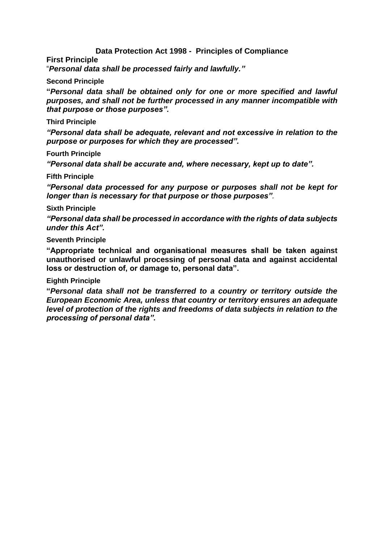## **Data Protection Act 1998 - Principles of Compliance**

**First Principle**

"*Personal data shall be processed fairly and lawfully."*

#### **Second Principle**

**"***Personal data shall be obtained only for one or more specified and lawful purposes, and shall not be further processed in any manner incompatible with that purpose or those purposes".*

### **Third Principle**

*"Personal data shall be adequate, relevant and not excessive in relation to the purpose or purposes for which they are processed".*

#### **Fourth Principle**

*"Personal data shall be accurate and, where necessary, kept up to date".*

#### **Fifth Principle**

*"Personal data processed for any purpose or purposes shall not be kept for longer than is necessary for that purpose or those purposes".*

#### **Sixth Principle**

*"Personal data shall be processed in accordance with the rights of data subjects under this Act".*

### **Seventh Principle**

**"Appropriate technical and organisational measures shall be taken against unauthorised or unlawful processing of personal data and against accidental loss or destruction of, or damage to, personal data".**

#### **Eighth Principle**

**"***Personal data shall not be transferred to a country or territory outside the European Economic Area, unless that country or territory ensures an adequate level of protection of the rights and freedoms of data subjects in relation to the processing of personal data".*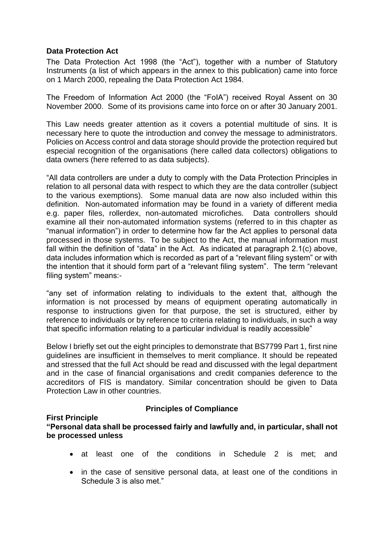## **Data Protection Act**

The Data Protection Act 1998 (the "Act"), together with a number of Statutory Instruments (a list of which appears in the annex to this publication) came into force on 1 March 2000, repealing the Data Protection Act 1984.

The Freedom of Information Act 2000 (the "FoIA") received Royal Assent on 30 November 2000. Some of its provisions came into force on or after 30 January 2001.

This Law needs greater attention as it covers a potential multitude of sins. It is necessary here to quote the introduction and convey the message to administrators. Policies on Access control and data storage should provide the protection required but especial recognition of the organisations (here called data collectors) obligations to data owners (here referred to as data subjects).

"All data controllers are under a duty to comply with the Data Protection Principles in relation to all personal data with respect to which they are the data controller (subject to the various exemptions). Some manual data are now also included within this definition. Non-automated information may be found in a variety of different media e.g. paper files, rollerdex, non-automated microfiches. Data controllers should examine all their non-automated information systems (referred to in this chapter as "manual information") in order to determine how far the Act applies to personal data processed in those systems. To be subject to the Act, the manual information must fall within the definition of "data" in the Act. As indicated at paragraph 2.1(c) above, data includes information which is recorded as part of a "relevant filing system" or with the intention that it should form part of a "relevant filing system". The term "relevant filing system" means:-

"any set of information relating to individuals to the extent that, although the information is not processed by means of equipment operating automatically in response to instructions given for that purpose, the set is structured, either by reference to individuals or by reference to criteria relating to individuals, in such a way that specific information relating to a particular individual is readily accessible"

Below I briefly set out the eight principles to demonstrate that BS7799 Part 1, first nine guidelines are insufficient in themselves to merit compliance. It should be repeated and stressed that the full Act should be read and discussed with the legal department and in the case of financial organisations and credit companies deference to the accreditors of FIS is mandatory. Similar concentration should be given to Data Protection Law in other countries.

#### **First Principle**

# **Principles of Compliance**

**"Personal data shall be processed fairly and lawfully and, in particular, shall not be processed unless** 

- at least one of the conditions in Schedule 2 is met; and
- in the case of sensitive personal data, at least one of the conditions in Schedule 3 is also met."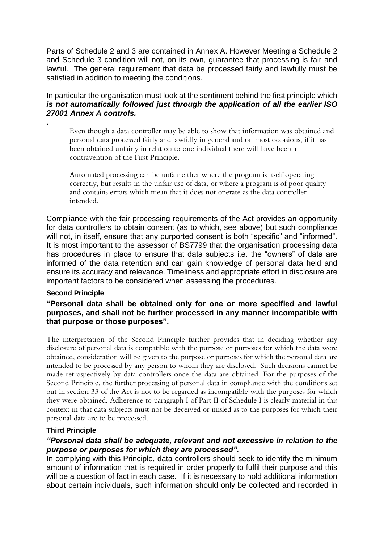Parts of Schedule 2 and 3 are contained in Annex A. However Meeting a Schedule 2 and Schedule 3 condition will not, on its own, guarantee that processing is fair and lawful. The general requirement that data be processed fairly and lawfully must be satisfied in addition to meeting the conditions.

In particular the organisation must look at the sentiment behind the first principle which *is not automatically followed just through the application of all the earlier ISO 27001 Annex A controls.* 

Even though a data controller may be able to show that information was obtained and personal data processed fairly and lawfully in general and on most occasions, if it has been obtained unfairly in relation to one individual there will have been a contravention of the First Principle.

Automated processing can be unfair either where the program is itself operating correctly, but results in the unfair use of data, or where a program is of poor quality and contains errors which mean that it does not operate as the data controller intended.

Compliance with the fair processing requirements of the Act provides an opportunity for data controllers to obtain consent (as to which, see above) but such compliance will not, in itself, ensure that any purported consent is both "specific" and "informed". It is most important to the assessor of BS7799 that the organisation processing data has procedures in place to ensure that data subjects i.e. the "owners" of data are informed of the data retention and can gain knowledge of personal data held and ensure its accuracy and relevance. Timeliness and appropriate effort in disclosure are important factors to be considered when assessing the procedures.

#### **Second Principle**

*.*

### **"Personal data shall be obtained only for one or more specified and lawful purposes, and shall not be further processed in any manner incompatible with that purpose or those purposes".**

The interpretation of the Second Principle further provides that in deciding whether any disclosure of personal data is compatible with the purpose or purposes for which the data were obtained, consideration will be given to the purpose or purposes for which the personal data are intended to be processed by any person to whom they are disclosed. Such decisions cannot be made retrospectively by data controllers once the data are obtained. For the purposes of the Second Principle, the further processing of personal data in compliance with the conditions set out in section 33 of the Act is not to be regarded as incompatible with the purposes for which they were obtained. Adherence to paragraph I of Part II of Schedule I is clearly material in this context in that data subjects must not be deceived or misled as to the purposes for which their personal data are to be processed.

#### **Third Principle**

## *"Personal data shall be adequate, relevant and not excessive in relation to the purpose or purposes for which they are processed".*

In complying with this Principle, data controllers should seek to identify the minimum amount of information that is required in order properly to fulfil their purpose and this will be a question of fact in each case. If it is necessary to hold additional information about certain individuals, such information should only be collected and recorded in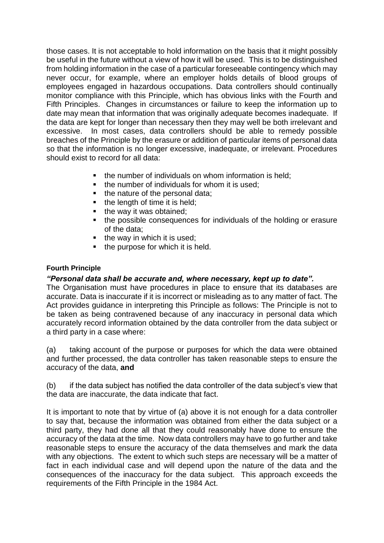those cases. It is not acceptable to hold information on the basis that it might possibly be useful in the future without a view of how it will be used. This is to be distinguished from holding information in the case of a particular foreseeable contingency which may never occur, for example, where an employer holds details of blood groups of employees engaged in hazardous occupations. Data controllers should continually monitor compliance with this Principle, which has obvious links with the Fourth and Fifth Principles. Changes in circumstances or failure to keep the information up to date may mean that information that was originally adequate becomes inadequate. If the data are kept for longer than necessary then they may well be both irrelevant and excessive. In most cases, data controllers should be able to remedy possible breaches of the Principle by the erasure or addition of particular items of personal data so that the information is no longer excessive, inadequate, or irrelevant. Procedures should exist to record for all data:

- the number of individuals on whom information is held:
- the number of individuals for whom it is used;
- the nature of the personal data;
- the length of time it is held;
- the way it was obtained;
- the possible consequences for individuals of the holding or erasure of the data;
- $\blacksquare$  the way in which it is used:
- the purpose for which it is held.

# **Fourth Principle**

## *"Personal data shall be accurate and, where necessary, kept up to date".*

The Organisation must have procedures in place to ensure that its databases are accurate. Data is inaccurate if it is incorrect or misleading as to any matter of fact. The Act provides guidance in interpreting this Principle as follows: The Principle is not to be taken as being contravened because of any inaccuracy in personal data which accurately record information obtained by the data controller from the data subject or a third party in a case where:

(a) taking account of the purpose or purposes for which the data were obtained and further processed, the data controller has taken reasonable steps to ensure the accuracy of the data, **and**

(b) if the data subject has notified the data controller of the data subject's view that the data are inaccurate, the data indicate that fact.

It is important to note that by virtue of (a) above it is not enough for a data controller to say that, because the information was obtained from either the data subject or a third party, they had done all that they could reasonably have done to ensure the accuracy of the data at the time. Now data controllers may have to go further and take reasonable steps to ensure the accuracy of the data themselves and mark the data with any objections. The extent to which such steps are necessary will be a matter of fact in each individual case and will depend upon the nature of the data and the consequences of the inaccuracy for the data subject. This approach exceeds the requirements of the Fifth Principle in the 1984 Act.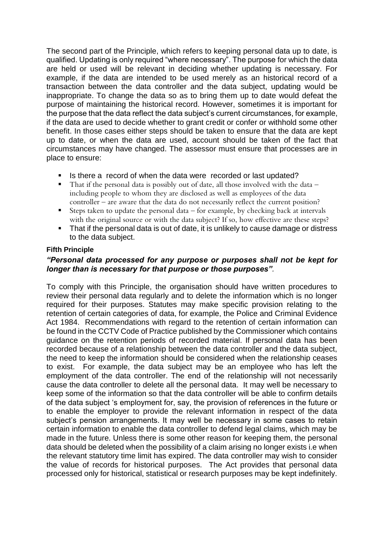The second part of the Principle, which refers to keeping personal data up to date, is qualified. Updating is only required "where necessary". The purpose for which the data are held or used will be relevant in deciding whether updating is necessary. For example, if the data are intended to be used merely as an historical record of a transaction between the data controller and the data subject, updating would be inappropriate. To change the data so as to bring them up to date would defeat the purpose of maintaining the historical record. However, sometimes it is important for the purpose that the data reflect the data subject's current circumstances, for example, if the data are used to decide whether to grant credit or confer or withhold some other benefit. In those cases either steps should be taken to ensure that the data are kept up to date, or when the data are used, account should be taken of the fact that circumstances may have changed. The assessor must ensure that processes are in place to ensure:

- Is there a record of when the data were recorded or last updated?
- $\blacksquare$  That if the personal data is possibly out of date, all those involved with the data including people to whom they are disclosed as well as employees of the data controller – are aware that the data do not necessarily reflect the current position?
- **EXECT** Steps taken to update the personal data for example, by checking back at intervals with the original source or with the data subject? If so, how effective are these steps?
- That if the personal data is out of date, it is unlikely to cause damage or distress to the data subject.

## **Fifth Principle**

# *"Personal data processed for any purpose or purposes shall not be kept for longer than is necessary for that purpose or those purposes".*

To comply with this Principle, the organisation should have written procedures to review their personal data regularly and to delete the information which is no longer required for their purposes. Statutes may make specific provision relating to the retention of certain categories of data, for example, the Police and Criminal Evidence Act 1984. Recommendations with regard to the retention of certain information can be found in the CCTV Code of Practice published by the Commissioner which contains guidance on the retention periods of recorded material. If personal data has been recorded because of a relationship between the data controller and the data subject, the need to keep the information should be considered when the relationship ceases to exist. For example, the data subject may be an employee who has left the employment of the data controller. The end of the relationship will not necessarily cause the data controller to delete all the personal data. It may well be necessary to keep some of the information so that the data controller will be able to confirm details of the data subject 's employment for, say, the provision of references in the future or to enable the employer to provide the relevant information in respect of the data subject's pension arrangements. It may well be necessary in some cases to retain certain information to enable the data controller to defend legal claims, which may be made in the future. Unless there is some other reason for keeping them, the personal data should be deleted when the possibility of a claim arising no longer exists i.e when the relevant statutory time limit has expired. The data controller may wish to consider the value of records for historical purposes. The Act provides that personal data processed only for historical, statistical or research purposes may be kept indefinitely.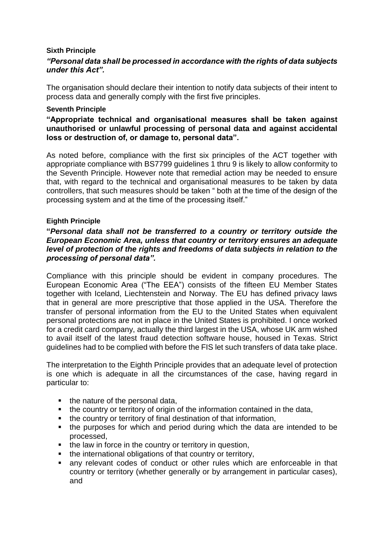## **Sixth Principle**

# *"Personal data shall be processed in accordance with the rights of data subjects under this Act".*

The organisation should declare their intention to notify data subjects of their intent to process data and generally comply with the first five principles.

### **Seventh Principle**

**"Appropriate technical and organisational measures shall be taken against unauthorised or unlawful processing of personal data and against accidental loss or destruction of, or damage to, personal data".**

As noted before, compliance with the first six principles of the ACT together with appropriate compliance with BS7799 guidelines 1 thru 9 is likely to allow conformity to the Seventh Principle. However note that remedial action may be needed to ensure that, with regard to the technical and organisational measures to be taken by data controllers, that such measures should be taken " both at the time of the design of the processing system and at the time of the processing itself."

## **Eighth Principle**

## **"***Personal data shall not be transferred to a country or territory outside the European Economic Area, unless that country or territory ensures an adequate level of protection of the rights and freedoms of data subjects in relation to the processing of personal data".*

Compliance with this principle should be evident in company procedures. The European Economic Area ("The EEA") consists of the fifteen EU Member States together with Iceland, Liechtenstein and Norway. The EU has defined privacy laws that in general are more prescriptive that those applied in the USA. Therefore the transfer of personal information from the EU to the United States when equivalent personal protections are not in place in the United States is prohibited. I once worked for a credit card company, actually the third largest in the USA, whose UK arm wished to avail itself of the latest fraud detection software house, housed in Texas. Strict guidelines had to be complied with before the FIS let such transfers of data take place.

The interpretation to the Eighth Principle provides that an adequate level of protection is one which is adequate in all the circumstances of the case, having regard in particular to:

- the nature of the personal data,
- the country or territory of origin of the information contained in the data,
- the country or territory of final destination of that information,
- the purposes for which and period during which the data are intended to be processed,
- the law in force in the country or territory in question,
- the international obligations of that country or territory,
- any relevant codes of conduct or other rules which are enforceable in that country or territory (whether generally or by arrangement in particular cases), and